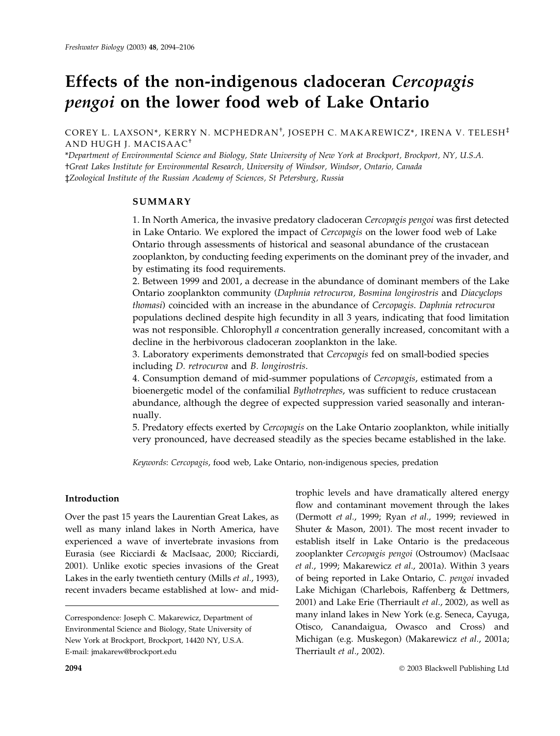# Effects of the non-indigenous cladoceran Cercopagis pengoi on the lower food web of Lake Ontario

COREY L. LAXSON\*, KERRY N. MCPHEDRAN† , JOSEPH C. MAKAREWICZ\*, IRENA V. TELESH‡ AND HUGH J. MACISAAC†

\*Department of Environmental Science and Biology, State University of New York at Brockport, Brockport, NY, U.S.A. †Great Lakes Institute for Environmental Research, University of Windsor, Windsor, Ontario, Canada ‡Zoological Institute of the Russian Academy of Sciences, St Petersburg, Russia

# SUMMARY

1. In North America, the invasive predatory cladoceran Cercopagis pengoi was first detected in Lake Ontario. We explored the impact of Cercopagis on the lower food web of Lake Ontario through assessments of historical and seasonal abundance of the crustacean zooplankton, by conducting feeding experiments on the dominant prey of the invader, and by estimating its food requirements.

2. Between 1999 and 2001, a decrease in the abundance of dominant members of the Lake Ontario zooplankton community (Daphnia retrocurva, Bosmina longirostris and Diacyclops thomasi) coincided with an increase in the abundance of Cercopagis. Daphnia retrocurva populations declined despite high fecundity in all 3 years, indicating that food limitation was not responsible. Chlorophyll a concentration generally increased, concomitant with a decline in the herbivorous cladoceran zooplankton in the lake.

3. Laboratory experiments demonstrated that Cercopagis fed on small-bodied species including D. retrocurva and B. longirostris.

4. Consumption demand of mid-summer populations of Cercopagis, estimated from a bioenergetic model of the confamilial Bythotrephes, was sufficient to reduce crustacean abundance, although the degree of expected suppression varied seasonally and interannually.

5. Predatory effects exerted by Cercopagis on the Lake Ontario zooplankton, while initially very pronounced, have decreased steadily as the species became established in the lake.

Keywords: Cercopagis, food web, Lake Ontario, non-indigenous species, predation

# Introduction

Over the past 15 years the Laurentian Great Lakes, as well as many inland lakes in North America, have experienced a wave of invertebrate invasions from Eurasia (see Ricciardi & MacIsaac, 2000; Ricciardi, 2001). Unlike exotic species invasions of the Great Lakes in the early twentieth century (Mills et al., 1993), recent invaders became established at low- and mid-

trophic levels and have dramatically altered energy flow and contaminant movement through the lakes (Dermott et al., 1999; Ryan et al., 1999; reviewed in Shuter & Mason, 2001). The most recent invader to establish itself in Lake Ontario is the predaceous zooplankter Cercopagis pengoi (Ostroumov) (MacIsaac et al., 1999; Makarewicz et al., 2001a). Within 3 years of being reported in Lake Ontario, C. pengoi invaded Lake Michigan (Charlebois, Raffenberg & Dettmers, 2001) and Lake Erie (Therriault et al., 2002), as well as many inland lakes in New York (e.g. Seneca, Cayuga, Otisco, Canandaigua, Owasco and Cross) and Michigan (e.g. Muskegon) (Makarewicz et al., 2001a; Therriault et al., 2002).

Correspondence: Joseph C. Makarewicz, Department of Environmental Science and Biology, State University of New York at Brockport, Brockport, 14420 NY, U.S.A. E-mail: jmakarew@brockport.edu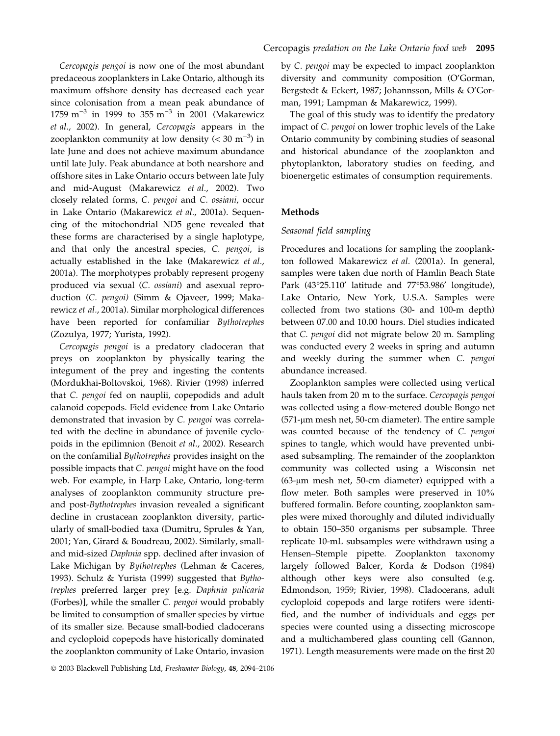Cercopagis pengoi is now one of the most abundant predaceous zooplankters in Lake Ontario, although its maximum offshore density has decreased each year since colonisation from a mean peak abundance of 1759 m<sup>-3</sup> in 1999 to 355 m<sup>-3</sup> in 2001 (Makarewicz et al., 2002). In general, Cercopagis appears in the zooplankton community at low density  $( $30 \text{ m}^{-3}$ )$  in late June and does not achieve maximum abundance until late July. Peak abundance at both nearshore and offshore sites in Lake Ontario occurs between late July and mid-August (Makarewicz et al., 2002). Two closely related forms, C. pengoi and C. ossiani, occur in Lake Ontario (Makarewicz et al., 2001a). Sequencing of the mitochondrial ND5 gene revealed that these forms are characterised by a single haplotype, and that only the ancestral species, C. pengoi, is actually established in the lake (Makarewicz et al., 2001a). The morphotypes probably represent progeny produced via sexual (C. ossiani) and asexual reproduction (C. pengoi) (Simm & Ojaveer, 1999; Makarewicz et al., 2001a). Similar morphological differences have been reported for confamiliar Bythotrephes (Zozulya, 1977; Yurista, 1992).

Cercopagis pengoi is a predatory cladoceran that preys on zooplankton by physically tearing the integument of the prey and ingesting the contents (Mordukhai-Boltovskoi, 1968). Rivier (1998) inferred that C. pengoi fed on nauplii, copepodids and adult calanoid copepods. Field evidence from Lake Ontario demonstrated that invasion by C. pengoi was correlated with the decline in abundance of juvenile cyclopoids in the epilimnion (Benoit et al., 2002). Research on the confamilial Bythotrephes provides insight on the possible impacts that C. pengoi might have on the food web. For example, in Harp Lake, Ontario, long-term analyses of zooplankton community structure preand post-Bythotrephes invasion revealed a significant decline in crustacean zooplankton diversity, particularly of small-bodied taxa (Dumitru, Sprules & Yan, 2001; Yan, Girard & Boudreau, 2002). Similarly, smalland mid-sized Daphnia spp. declined after invasion of Lake Michigan by Bythotrephes (Lehman & Caceres, 1993). Schulz & Yurista (1999) suggested that Bythotrephes preferred larger prey [e.g. Daphnia pulicaria (Forbes)], while the smaller C. pengoi would probably be limited to consumption of smaller species by virtue of its smaller size. Because small-bodied cladocerans and cycloploid copepods have historically dominated the zooplankton community of Lake Ontario, invasion

by C. pengoi may be expected to impact zooplankton diversity and community composition (O'Gorman, Bergstedt & Eckert, 1987; Johannsson, Mills & O'Gorman, 1991; Lampman & Makarewicz, 1999).

The goal of this study was to identify the predatory impact of C. pengoi on lower trophic levels of the Lake Ontario community by combining studies of seasonal and historical abundance of the zooplankton and phytoplankton, laboratory studies on feeding, and bioenergetic estimates of consumption requirements.

# Methods

# Seasonal field sampling

Procedures and locations for sampling the zooplankton followed Makarewicz et al. (2001a). In general, samples were taken due north of Hamlin Beach State Park (43°25.110' latitude and 77°53.986' longitude), Lake Ontario, New York, U.S.A. Samples were collected from two stations (30- and 100-m depth) between 07.00 and 10.00 hours. Diel studies indicated that C. pengoi did not migrate below 20 m. Sampling was conducted every 2 weeks in spring and autumn and weekly during the summer when C. pengoi abundance increased.

Zooplankton samples were collected using vertical hauls taken from 20 m to the surface. Cercopagis pengoi was collected using a flow-metered double Bongo net  $(571$ -µm mesh net, 50-cm diameter). The entire sample was counted because of the tendency of C. pengoi spines to tangle, which would have prevented unbiased subsampling. The remainder of the zooplankton community was collected using a Wisconsin net  $(63\text{-}\mu\text{m}$  mesh net, 50-cm diameter) equipped with a flow meter. Both samples were preserved in 10% buffered formalin. Before counting, zooplankton samples were mixed thoroughly and diluted individually to obtain 150–350 organisms per subsample. Three replicate 10-mL subsamples were withdrawn using a Hensen–Stemple pipette. Zooplankton taxonomy largely followed Balcer, Korda & Dodson (1984) although other keys were also consulted (e.g. Edmondson, 1959; Rivier, 1998). Cladocerans, adult cycloploid copepods and large rotifers were identified, and the number of individuals and eggs per species were counted using a dissecting microscope and a multichambered glass counting cell (Gannon, 1971). Length measurements were made on the first 20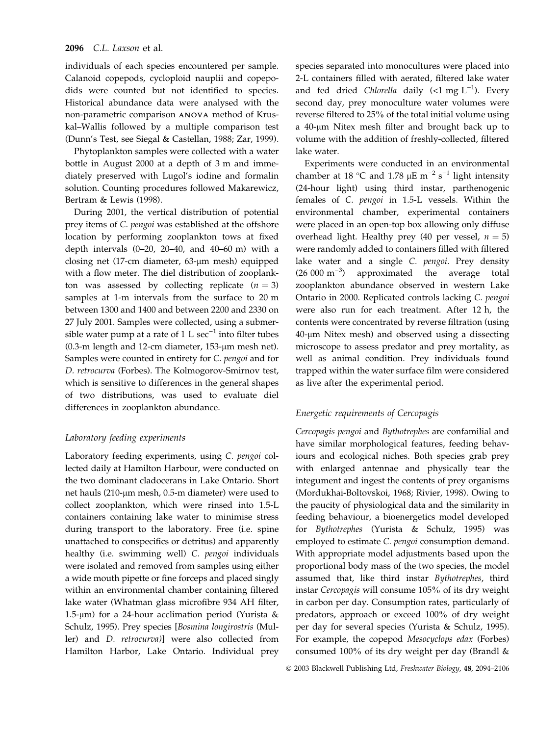individuals of each species encountered per sample. Calanoid copepods, cycloploid nauplii and copepodids were counted but not identified to species. Historical abundance data were analysed with the non-parametric comparison ANOVA method of Kruskal–Wallis followed by a multiple comparison test (Dunn's Test, see Siegal & Castellan, 1988; Zar, 1999).

Phytoplankton samples were collected with a water bottle in August 2000 at a depth of 3 m and immediately preserved with Lugol's iodine and formalin solution. Counting procedures followed Makarewicz, Bertram & Lewis (1998).

During 2001, the vertical distribution of potential prey items of C. pengoi was established at the offshore location by performing zooplankton tows at fixed depth intervals (0–20, 20–40, and 40–60 m) with a closing net (17-cm diameter, 63-µm mesh) equipped with a flow meter. The diel distribution of zooplankton was assessed by collecting replicate  $(n = 3)$ samples at 1-m intervals from the surface to 20 m between 1300 and 1400 and between 2200 and 2330 on 27 July 2001. Samples were collected, using a submersible water pump at a rate of 1 L  $\sec^{-1}$  into filter tubes (0.3-m length and 12-cm diameter,  $153$ - $\mu$ m mesh net). Samples were counted in entirety for C. pengoi and for D. retrocurva (Forbes). The Kolmogorov-Smirnov test, which is sensitive to differences in the general shapes of two distributions, was used to evaluate diel differences in zooplankton abundance.

# Laboratory feeding experiments

Laboratory feeding experiments, using C. pengoi collected daily at Hamilton Harbour, were conducted on the two dominant cladocerans in Lake Ontario. Short net hauls ( $210$ -µm mesh,  $0.5$ -m diameter) were used to collect zooplankton, which were rinsed into 1.5-L containers containing lake water to minimise stress during transport to the laboratory. Free (i.e. spine unattached to conspecifics or detritus) and apparently healthy (i.e. swimming well) C. pengoi individuals were isolated and removed from samples using either a wide mouth pipette or fine forceps and placed singly within an environmental chamber containing filtered lake water (Whatman glass microfibre 934 AH filter, 1.5- $\mu$ m) for a 24-hour acclimation period (Yurista & Schulz, 1995). Prey species [Bosmina longirostris (Muller) and D. retrocurva)] were also collected from Hamilton Harbor, Lake Ontario. Individual prey species separated into monocultures were placed into 2-L containers filled with aerated, filtered lake water and fed dried Chlorella daily (<1 mg  $L^{-1}$ ). Every second day, prey monoculture water volumes were reverse filtered to 25% of the total initial volume using a 40-µm Nitex mesh filter and brought back up to volume with the addition of freshly-collected, filtered lake water.

Experiments were conducted in an environmental chamber at 18 °C and 1.78  $\mu$ E m<sup>-2</sup> s<sup>-1</sup> light intensity (24-hour light) using third instar, parthenogenic females of C. pengoi in 1.5-L vessels. Within the environmental chamber, experimental containers were placed in an open-top box allowing only diffuse overhead light. Healthy prey (40 per vessel,  $n = 5$ ) were randomly added to containers filled with filtered lake water and a single C. pengoi. Prey density  $(26 000 \text{ m}^{-3})$  approximated the average total zooplankton abundance observed in western Lake Ontario in 2000. Replicated controls lacking C. pengoi were also run for each treatment. After 12 h, the contents were concentrated by reverse filtration (using 40-lm Nitex mesh) and observed using a dissecting microscope to assess predator and prey mortality, as well as animal condition. Prey individuals found trapped within the water surface film were considered as live after the experimental period.

# Energetic requirements of Cercopagis

Cercopagis pengoi and Bythotrephes are confamilial and have similar morphological features, feeding behaviours and ecological niches. Both species grab prey with enlarged antennae and physically tear the integument and ingest the contents of prey organisms (Mordukhai-Boltovskoi, 1968; Rivier, 1998). Owing to the paucity of physiological data and the similarity in feeding behaviour, a bioenergetics model developed for Bythotrephes (Yurista & Schulz, 1995) was employed to estimate *C. pengoi* consumption demand. With appropriate model adjustments based upon the proportional body mass of the two species, the model assumed that, like third instar Bythotrephes, third instar Cercopagis will consume 105% of its dry weight in carbon per day. Consumption rates, particularly of predators, approach or exceed 100% of dry weight per day for several species (Yurista & Schulz, 1995). For example, the copepod Mesocyclops edax (Forbes) consumed 100% of its dry weight per day (Brandl &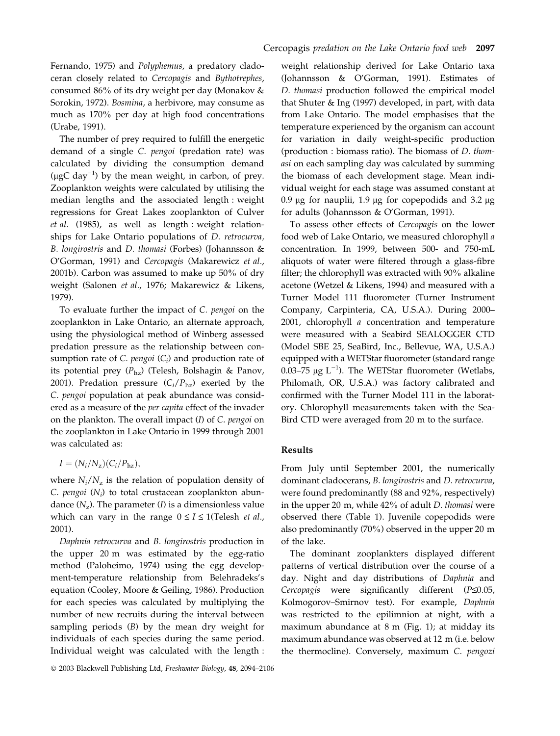Fernando, 1975) and Polyphemus, a predatory cladoceran closely related to Cercopagis and Bythotrephes, consumed 86% of its dry weight per day (Monakov & Sorokin, 1972). Bosmina, a herbivore, may consume as much as 170% per day at high food concentrations (Urabe, 1991).

The number of prey required to fulfill the energetic demand of a single C. pengoi (predation rate) was calculated by dividing the consumption demand (µgC day<sup>-1</sup>) by the mean weight, in carbon, of prey. Zooplankton weights were calculated by utilising the median lengths and the associated length : weight regressions for Great Lakes zooplankton of Culver et al. (1985), as well as length : weight relationships for Lake Ontario populations of *D. retrocurva*, B. longirostris and D. thomasi (Forbes) (Johannsson  $\&$ O'Gorman, 1991) and Cercopagis (Makarewicz et al., 2001b). Carbon was assumed to make up 50% of dry weight (Salonen et al., 1976; Makarewicz & Likens, 1979).

To evaluate further the impact of C. pengoi on the zooplankton in Lake Ontario, an alternate approach, using the physiological method of Winberg assessed predation pressure as the relationship between consumption rate of  $C$ . pengoi  $(C_i)$  and production rate of its potential prey  $(P_{hz})$  (Telesh, Bolshagin & Panov, 2001). Predation pressure  $(C_i/P_{\text{hz}})$  exerted by the C. pengoi population at peak abundance was considered as a measure of the per capita effect of the invader on the plankton. The overall impact (I) of C. pengoi on the zooplankton in Lake Ontario in 1999 through 2001 was calculated as:

$$
I = (N_i/N_z)(C_i/P_{\text{hz}}),
$$

where  $N_i/N_z$  is the relation of population density of C. pengoi  $(N_i)$  to total crustacean zooplankton abundance  $(N_z)$ . The parameter (*I*) is a dimensionless value which can vary in the range  $0 \le I \le 1$  (Telesh *et al.*, 2001).

Daphnia retrocurva and B. longirostris production in the upper 20 m was estimated by the egg-ratio method (Paloheimo, 1974) using the egg development-temperature relationship from Belehradeks's equation (Cooley, Moore & Geiling, 1986). Production for each species was calculated by multiplying the number of new recruits during the interval between sampling periods (B) by the mean dry weight for individuals of each species during the same period. Individual weight was calculated with the length :

weight relationship derived for Lake Ontario taxa (Johannsson & O'Gorman, 1991). Estimates of D. thomasi production followed the empirical model that Shuter & Ing (1997) developed, in part, with data from Lake Ontario. The model emphasises that the temperature experienced by the organism can account for variation in daily weight-specific production (production : biomass ratio). The biomass of D. thomasi on each sampling day was calculated by summing the biomass of each development stage. Mean individual weight for each stage was assumed constant at 0.9  $\mu$ g for nauplii, 1.9  $\mu$ g for copepodids and 3.2  $\mu$ g for adults (Johannsson & O'Gorman, 1991).

To assess other effects of Cercopagis on the lower food web of Lake Ontario, we measured chlorophyll a concentration. In 1999, between 500- and 750-mL aliquots of water were filtered through a glass-fibre filter; the chlorophyll was extracted with 90% alkaline acetone (Wetzel & Likens, 1994) and measured with a Turner Model 111 fluorometer (Turner Instrument Company, Carpinteria, CA, U.S.A.). During 2000– 2001, chlorophyll *a* concentration and temperature were measured with a Seabird SEALOGGER CTD (Model SBE 25, SeaBird, Inc., Bellevue, WA, U.S.A.) equipped with a WETStar fluorometer (standard range 0.03–75  $\mu$ g L<sup>-1</sup>). The WETStar fluorometer (Wetlabs, Philomath, OR, U.S.A.) was factory calibrated and confirmed with the Turner Model 111 in the laboratory. Chlorophyll measurements taken with the Sea-Bird CTD were averaged from 20 m to the surface.

# Results

From July until September 2001, the numerically dominant cladocerans, B. longirostris and D. retrocurva, were found predominantly (88 and 92%, respectively) in the upper 20 m, while 42% of adult D. thomasi were observed there (Table 1). Juvenile copepodids were also predominantly (70%) observed in the upper 20 m of the lake.

The dominant zooplankters displayed different patterns of vertical distribution over the course of a day. Night and day distributions of Daphnia and Cercopagis were significantly different  $(P \le 0.05,$ Kolmogorov–Smirnov test). For example, Daphnia was restricted to the epilimnion at night, with a maximum abundance at 8 m (Fig. 1); at midday its maximum abundance was observed at 12 m (i.e. below the thermocline). Conversely, maximum C. pengozi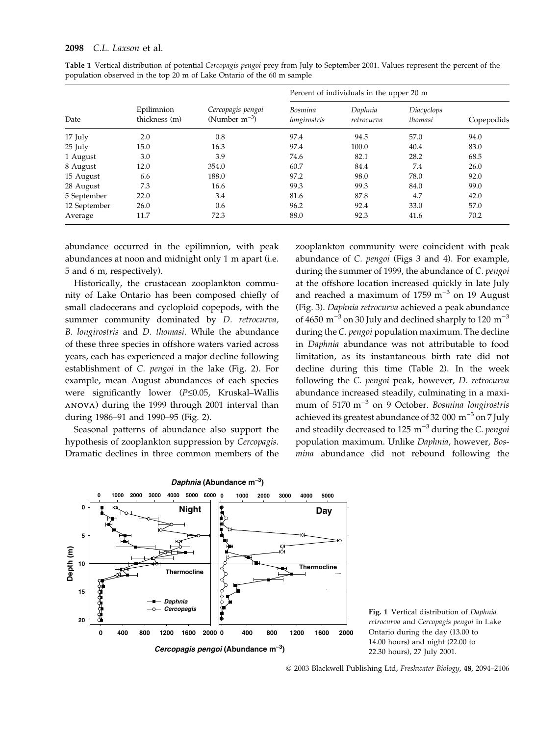| Date         | Epilimnion<br>thickness (m) | Cercopagis pengoi<br>(Number $m^{-3}$ ) | Percent of individuals in the upper 20 m |                       |                       |            |
|--------------|-----------------------------|-----------------------------------------|------------------------------------------|-----------------------|-----------------------|------------|
|              |                             |                                         | Bosmina<br>longirostris                  | Daphnia<br>retrocurva | Diacyclops<br>thomasi | Copepodids |
| 17 July      | 2.0                         | 0.8                                     | 97.4                                     | 94.5                  | 57.0                  | 94.0       |
| 25 July      | 15.0                        | 16.3                                    | 97.4                                     | 100.0                 | 40.4                  | 83.0       |
| 1 August     | 3.0                         | 3.9                                     | 74.6                                     | 82.1                  | 28.2                  | 68.5       |
| 8 August     | 12.0                        | 354.0                                   | 60.7                                     | 84.4                  | 7.4                   | 26.0       |
| 15 August    | 6.6                         | 188.0                                   | 97.2                                     | 98.0                  | 78.0                  | 92.0       |
| 28 August    | 7.3                         | 16.6                                    | 99.3                                     | 99.3                  | 84.0                  | 99.0       |
| 5 September  | 22.0                        | 3.4                                     | 81.6                                     | 87.8                  | 4.7                   | 42.0       |
| 12 September | 26.0                        | 0.6                                     | 96.2                                     | 92.4                  | 33.0                  | 57.0       |
| Average      | 11.7                        | 72.3                                    | 88.0                                     | 92.3                  | 41.6                  | 70.2       |

Table 1 Vertical distribution of potential Cercopagis pengoi prey from July to September 2001. Values represent the percent of the population observed in the top 20 m of Lake Ontario of the 60 m sample

abundance occurred in the epilimnion, with peak abundances at noon and midnight only 1 m apart (i.e. 5 and 6 m, respectively).

Historically, the crustacean zooplankton community of Lake Ontario has been composed chiefly of small cladocerans and cycloploid copepods, with the summer community dominated by D. retrocurva, B. longirostris and D. thomasi. While the abundance of these three species in offshore waters varied across years, each has experienced a major decline following establishment of C. pengoi in the lake (Fig. 2). For example, mean August abundances of each species were significantly lower ( $P \le 0.05$ , Kruskal-Wallis ANOVA) during the 1999 through 2001 interval than during 1986–91 and 1990–95 (Fig. 2).

Seasonal patterns of abundance also support the hypothesis of zooplankton suppression by Cercopagis. Dramatic declines in three common members of the zooplankton community were coincident with peak abundance of C. pengoi (Figs 3 and 4). For example, during the summer of 1999, the abundance of C. pengoi at the offshore location increased quickly in late July and reached a maximum of 1759  $m^{-3}$  on 19 August (Fig. 3). Daphnia retrocurva achieved a peak abundance of 4650  $\mathrm{m}^{-3}$  on 30 July and declined sharply to 120  $\mathrm{m}^{-3}$ during the C. pengoi population maximum. The decline in Daphnia abundance was not attributable to food limitation, as its instantaneous birth rate did not decline during this time (Table 2). In the week following the C. pengoi peak, however, D. retrocurva abundance increased steadily, culminating in a maximum of 5170  $m^{-3}$  on 9 October. Bosmina longirostris achieved its greatest abundance of 32 000  $m^{-3}$  on 7 July and steadily decreased to 125  $m^{-3}$  during the C. pengoi population maximum. Unlike Daphnia, however, Bosmina abundance did not rebound following the



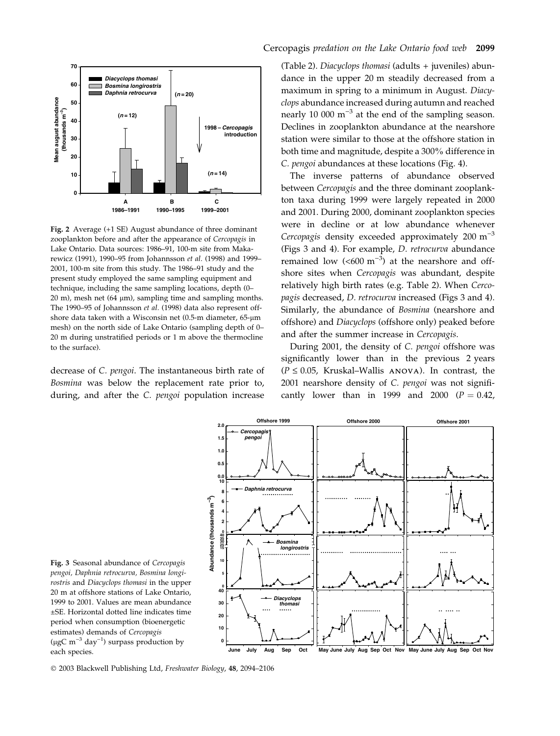

Fig. 2 Average (+1 SE) August abundance of three dominant zooplankton before and after the appearance of Cercopagis in Lake Ontario. Data sources: 1986–91, 100-m site from Makarewicz (1991), 1990–95 from Johannsson et al. (1998) and 1999– 2001, 100-m site from this study. The 1986–91 study and the present study employed the same sampling equipment and technique, including the same sampling locations, depth (0– 20 m), mesh net  $(64 \mu m)$ , sampling time and sampling months. The 1990–95 of Johannsson et al. (1998) data also represent offshore data taken with a Wisconsin net  $(0.5-m$  diameter,  $65\text{-}\mu\text{m}$ mesh) on the north side of Lake Ontario (sampling depth of 0– 20 m during unstratified periods or 1 m above the thermocline to the surface).

decrease of C. pengoi. The instantaneous birth rate of Bosmina was below the replacement rate prior to, during, and after the C. pengoi population increase

(Table 2). Diacyclops thomasi (adults + juveniles) abundance in the upper 20 m steadily decreased from a maximum in spring to a minimum in August. Diacyclops abundance increased during autumn and reached nearly 10 000  $\mathrm{m}^{-3}$  at the end of the sampling season. Declines in zooplankton abundance at the nearshore station were similar to those at the offshore station in both time and magnitude, despite a 300% difference in C. pengoi abundances at these locations (Fig. 4).

The inverse patterns of abundance observed between Cercopagis and the three dominant zooplankton taxa during 1999 were largely repeated in 2000 and 2001. During 2000, dominant zooplankton species were in decline or at low abundance whenever Cercopagis density exceeded approximately 200  $m^{-3}$ (Figs 3 and 4). For example, D. retrocurva abundance remained low  $(<,600 \text{ m}^{-3})$  at the nearshore and offshore sites when Cercopagis was abundant, despite relatively high birth rates (e.g. Table 2). When Cercopagis decreased, D. retrocurva increased (Figs 3 and 4). Similarly, the abundance of Bosmina (nearshore and offshore) and Diacyclops (offshore only) peaked before and after the summer increase in Cercopagis.

During 2001, the density of C. pengoi offshore was significantly lower than in the previous 2 years  $(P \le 0.05$ , Kruskal–Wallis ANOVA). In contrast, the 2001 nearshore density of C. pengoi was not significantly lower than in 1999 and 2000  $(P = 0.42)$ ,



Fig. 3 Seasonal abundance of Cercopagis pengoi, Daphnia retrocurva, Bosmina longirostris and Diacyclops thomasi in the upper 20 m at offshore stations of Lake Ontario, 1999 to 2001. Values are mean abundance ±SE. Horizontal dotted line indicates time period when consumption (bioenergetic estimates) demands of Cercopagis (µgC m<sup>-3</sup> day<sup>-1</sup>) surpass production by each species.

2003 Blackwell Publishing Ltd, Freshwater Biology, 48, 2094–2106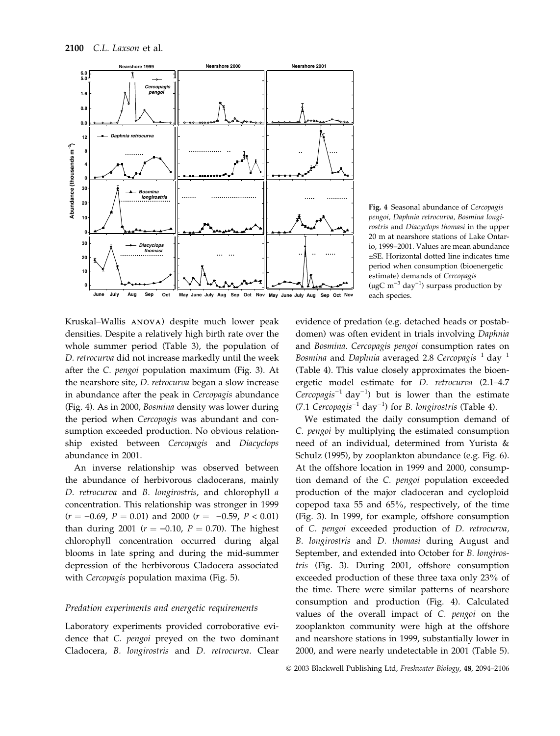

Fig. 4 Seasonal abundance of Cercopagis pengoi, Daphnia retrocurva, Bosmina longirostris and Diacyclops thomasi in the upper 20 m at nearshore stations of Lake Ontario, 1999–2001. Values are mean abundance ±SE. Horizontal dotted line indicates time period when consumption (bioenergetic estimate) demands of Cercopagis (µgC m<sup>-3</sup> day<sup>-1</sup>) surpass production by each species.

Kruskal–Wallis ANOVA) despite much lower peak densities. Despite a relatively high birth rate over the whole summer period (Table 3), the population of D. retrocurva did not increase markedly until the week after the C. pengoi population maximum (Fig. 3). At the nearshore site, *D. retrocurva* began a slow increase in abundance after the peak in Cercopagis abundance (Fig. 4). As in 2000, Bosmina density was lower during the period when Cercopagis was abundant and consumption exceeded production. No obvious relationship existed between Cercopagis and Diacyclops abundance in 2001.

An inverse relationship was observed between the abundance of herbivorous cladocerans, mainly D. retrocurva and B. longirostris, and chlorophyll a concentration. This relationship was stronger in 1999  $(r = -0.69, P = 0.01)$  and 2000  $(r = -0.59, P < 0.01)$ than during 2001 ( $r = -0.10$ ,  $P = 0.70$ ). The highest chlorophyll concentration occurred during algal blooms in late spring and during the mid-summer depression of the herbivorous Cladocera associated with Cercopagis population maxima (Fig. 5).

#### Predation experiments and energetic requirements

Laboratory experiments provided corroborative evidence that C. pengoi preyed on the two dominant Cladocera, B. longirostris and D. retrocurva. Clear evidence of predation (e.g. detached heads or postabdomen) was often evident in trials involving Daphnia and Bosmina. Cercopagis pengoi consumption rates on Bosmina and Daphnia averaged 2.8 Cercopagis $^{-1}$  day $^{-1}$ (Table 4). This value closely approximates the bioenergetic model estimate for *D. retrocurva* (2.1–4.7) Cercopagis<sup>-1</sup> day<sup>-1</sup>) but is lower than the estimate (7.1 Cercopagis<sup>-1</sup> day<sup>-1</sup>) for *B*. longirostris (Table 4).

We estimated the daily consumption demand of C. pengoi by multiplying the estimated consumption need of an individual, determined from Yurista & Schulz (1995), by zooplankton abundance (e.g. Fig. 6). At the offshore location in 1999 and 2000, consumption demand of the C. pengoi population exceeded production of the major cladoceran and cycloploid copepod taxa 55 and 65%, respectively, of the time (Fig. 3). In 1999, for example, offshore consumption of C. pengoi exceeded production of D. retrocurva, B. longirostris and D. thomasi during August and September, and extended into October for B. longirostris (Fig. 3). During 2001, offshore consumption exceeded production of these three taxa only 23% of the time. There were similar patterns of nearshore consumption and production (Fig. 4). Calculated values of the overall impact of C. pengoi on the zooplankton community were high at the offshore and nearshore stations in 1999, substantially lower in 2000, and were nearly undetectable in 2001 (Table 5).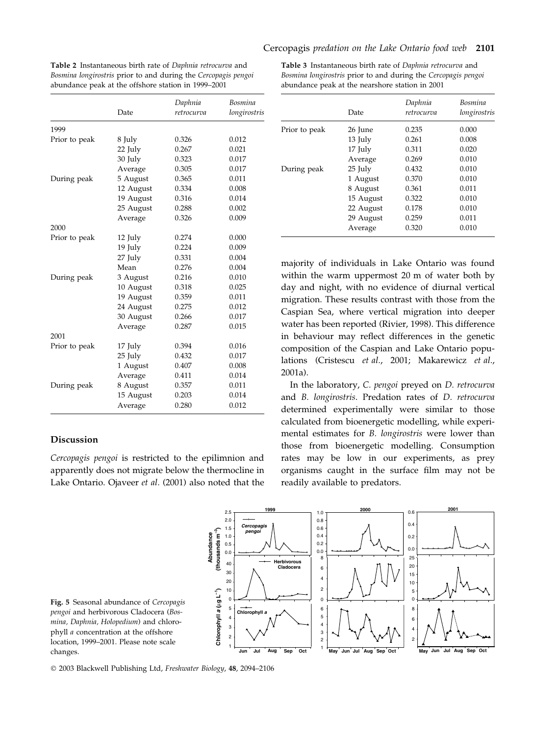| Table 2 Instantaneous birth rate of Daphnia retrocurva and     |
|----------------------------------------------------------------|
| Bosmina longirostris prior to and during the Cercopagis pengoi |
| abundance peak at the offshore station in 1999–2001            |

|               | Date      | Daphnia<br>retrocurva | Bosmina<br>longirostris |
|---------------|-----------|-----------------------|-------------------------|
| 1999          |           |                       |                         |
| Prior to peak | 8 July    | 0.326                 | 0.012                   |
|               | 22 July   | 0.267                 | 0.021                   |
|               | 30 July   | 0.323                 | 0.017                   |
|               | Average   | 0.305                 | 0.017                   |
| During peak   | 5 August  | 0.365                 | 0.011                   |
|               | 12 August | 0.334                 | 0.008                   |
|               | 19 August | 0.316                 | 0.014                   |
|               | 25 August | 0.288                 | 0.002                   |
|               | Average   | 0.326                 | 0.009                   |
| 2000          |           |                       |                         |
| Prior to peak | 12 July   | 0.274                 | 0.000                   |
|               | 19 July   | 0.224                 | 0.009                   |
|               | 27 July   | 0.331                 | 0.004                   |
|               | Mean      | 0.276                 | 0.004                   |
| During peak   | 3 August  | 0.216                 | 0.010                   |
|               | 10 August | 0.318                 | 0.025                   |
|               | 19 August | 0.359                 | 0.011                   |
|               | 24 August | 0.275                 | 0.012                   |
|               | 30 August | 0.266                 | 0.017                   |
|               | Average   | 0.287                 | 0.015                   |
| 2001          |           |                       |                         |
| Prior to peak | 17 July   | 0.394                 | 0.016                   |
|               | 25 July   | 0.432                 | 0.017                   |
|               | 1 August  | 0.407                 | 0.008                   |
|               | Average   | 0.411                 | 0.014                   |
| During peak   | 8 August  | 0.357                 | 0.011                   |
|               | 15 August | 0.203                 | 0.014                   |
|               | Average   | 0.280                 | 0.012                   |

# Discussion

Cercopagis pengoi is restricted to the epilimnion and apparently does not migrate below the thermocline in Lake Ontario. Ojaveer et al. (2001) also noted that the

Table 3 Instantaneous birth rate of Daphnia retrocurva and Bosmina longirostris prior to and during the Cercopagis pengoi abundance peak at the nearshore station in 2001

|               | Date      | Daphnia<br>retrocurva | Bosmina<br>longirostris |
|---------------|-----------|-----------------------|-------------------------|
| Prior to peak | 26 June   | 0.235                 | 0.000                   |
|               | 13 July   | 0.261                 | 0.008                   |
|               | 17 July   | 0.311                 | 0.020                   |
|               | Average   | 0.269                 | 0.010                   |
| During peak   | 25 July   | 0.432                 | 0.010                   |
|               | 1 August  | 0.370                 | 0.010                   |
|               | 8 August  | 0.361                 | 0.011                   |
|               | 15 August | 0.322                 | 0.010                   |
|               | 22 August | 0.178                 | 0.010                   |
|               | 29 August | 0.259                 | 0.011                   |
|               | Average   | 0.320                 | 0.010                   |

majority of individuals in Lake Ontario was found within the warm uppermost 20 m of water both by day and night, with no evidence of diurnal vertical migration. These results contrast with those from the Caspian Sea, where vertical migration into deeper water has been reported (Rivier, 1998). This difference in behaviour may reflect differences in the genetic composition of the Caspian and Lake Ontario populations (Cristescu et al., 2001; Makarewicz et al., 2001a).

In the laboratory, C. pengoi preyed on D. retrocurva and B. longirostris. Predation rates of D. retrocurva determined experimentally were similar to those calculated from bioenergetic modelling, while experimental estimates for B. longirostris were lower than those from bioenergetic modelling. Consumption rates may be low in our experiments, as prey organisms caught in the surface film may not be readily available to predators.



Fig. 5 Seasonal abundance of Cercopagis pengoi and herbivorous Cladocera (Bosmina, Daphnia, Holopedium) and chlorophyll a concentration at the offshore location, 1999–2001. Please note scale changes.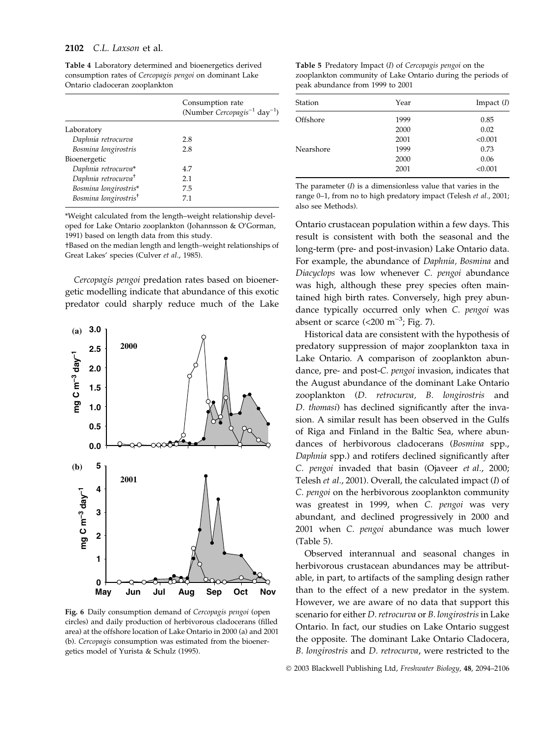#### 2102 C.L. Laxson et al.

|                                   | Consumption rate<br>(Number Cercopagis <sup>-1</sup> day <sup>-1</sup> ) |
|-----------------------------------|--------------------------------------------------------------------------|
| Laboratory                        |                                                                          |
| Daphnia retrocurva                | 2.8                                                                      |
| Bosmina longirostris              | 2.8                                                                      |
| Bioenergetic                      |                                                                          |
| Daphnia retrocurva*               | 4.7                                                                      |
| Daphnia retrocurva <sup>+</sup>   | 2.1                                                                      |
| Bosmina longirostris*             | 7.5                                                                      |
| Bosmina longirostris <sup>+</sup> | 7.1                                                                      |

Table 4 Laboratory determined and bioenergetics derived consumption rates of Cercopagis pengoi on dominant Lake Ontario cladoceran zooplankton

\*Weight calculated from the length–weight relationship developed for Lake Ontario zooplankton (Johannsson & O'Gorman, 1991) based on length data from this study.

†Based on the median length and length–weight relationships of Great Lakes' species (Culver et al., 1985).

Cercopagis pengoi predation rates based on bioenergetic modelling indicate that abundance of this exotic predator could sharply reduce much of the Lake



Fig. 6 Daily consumption demand of Cercopagis pengoi (open circles) and daily production of herbivorous cladocerans (filled area) at the offshore location of Lake Ontario in 2000 (a) and 2001 (b). Cercopagis consumption was estimated from the bioenergetics model of Yurista & Schulz (1995).

Table 5 Predatory Impact (I) of Cercopagis pengoi on the zooplankton community of Lake Ontario during the periods of peak abundance from 1999 to 2001

| Station   | Year | Impact $(I)$ |
|-----------|------|--------------|
| Offshore  | 1999 | 0.85         |
|           | 2000 | 0.02         |
|           | 2001 | < 0.001      |
| Nearshore | 1999 | 0.73         |
|           | 2000 | 0.06         |
|           | 2001 | < 0.001      |

The parameter  $(I)$  is a dimensionless value that varies in the range 0–1, from no to high predatory impact (Telesh et al., 2001; also see Methods).

Ontario crustacean population within a few days. This result is consistent with both the seasonal and the long-term (pre- and post-invasion) Lake Ontario data. For example, the abundance of Daphnia, Bosmina and Diacyclops was low whenever C. pengoi abundance was high, although these prey species often maintained high birth rates. Conversely, high prey abundance typically occurred only when C. pengoi was absent or scarce  $\left($  < 200 m<sup>-3</sup>; Fig. 7).

Historical data are consistent with the hypothesis of predatory suppression of major zooplankton taxa in Lake Ontario. A comparison of zooplankton abundance, pre- and post-C. pengoi invasion, indicates that the August abundance of the dominant Lake Ontario zooplankton (D. retrocurva, B. longirostris and D. thomasi) has declined significantly after the invasion. A similar result has been observed in the Gulfs of Riga and Finland in the Baltic Sea, where abundances of herbivorous cladocerans (Bosmina spp., Daphnia spp.) and rotifers declined significantly after C. pengoi invaded that basin (Ojaveer et al., 2000; Telesh et al., 2001). Overall, the calculated impact (I) of C. pengoi on the herbivorous zooplankton community was greatest in 1999, when C. pengoi was very abundant, and declined progressively in 2000 and 2001 when C. pengoi abundance was much lower (Table 5).

Observed interannual and seasonal changes in herbivorous crustacean abundances may be attributable, in part, to artifacts of the sampling design rather than to the effect of a new predator in the system. However, we are aware of no data that support this scenario for either *D. retrocurva* or *B. longirostris* in Lake Ontario. In fact, our studies on Lake Ontario suggest the opposite. The dominant Lake Ontario Cladocera, B. longirostris and D. retrocurva, were restricted to the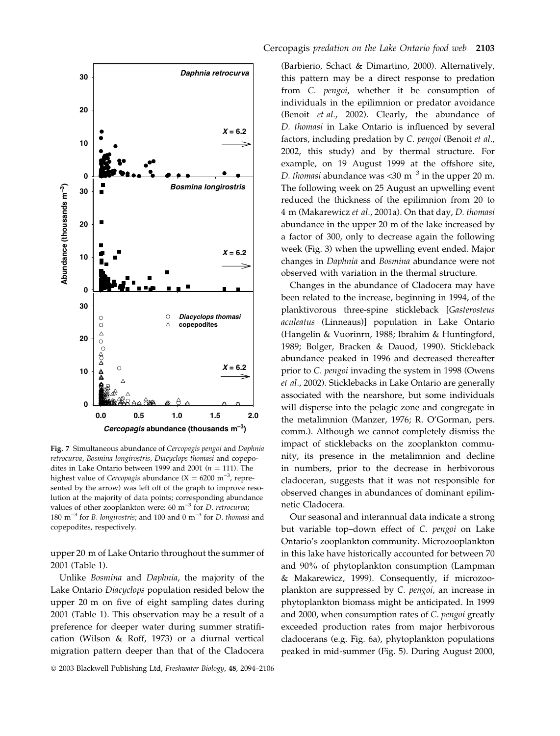

Fig. 7 Simultaneous abundance of Cercopagis pengoi and Daphnia retrocurva, Bosmina longirostris, Diacyclops thomasi and copepodites in Lake Ontario between 1999 and 2001 ( $n = 111$ ). The highest value of Cercopagis abundance  $(X = 6200 \text{ m}^{-3})$ , represented by the arrow) was left off of the graph to improve resolution at the majority of data points; corresponding abundance values of other zooplankton were:  $60 \text{ m}^{-3}$  for *D. retrocurva*; 180  $\mathrm{m}^{-3}$  for *B*. longirostris; and 100 and 0  $\mathrm{m}^{-3}$  for *D*. thomasi and copepodites, respectively.

upper 20 m of Lake Ontario throughout the summer of 2001 (Table 1).

Unlike Bosmina and Daphnia, the majority of the Lake Ontario Diacyclops population resided below the upper 20 m on five of eight sampling dates during 2001 (Table 1). This observation may be a result of a preference for deeper water during summer stratification (Wilson & Roff, 1973) or a diurnal vertical migration pattern deeper than that of the Cladocera

(Barbierio, Schact & Dimartino, 2000). Alternatively, this pattern may be a direct response to predation from C. pengoi, whether it be consumption of individuals in the epilimnion or predator avoidance (Benoit et al., 2002). Clearly, the abundance of D. thomasi in Lake Ontario is influenced by several factors, including predation by C. pengoi (Benoit et al., 2002, this study) and by thermal structure. For example, on 19 August 1999 at the offshore site, D. thomasi abundance was <30  $\mathrm{m}^{-3}$  in the upper 20 m. The following week on 25 August an upwelling event reduced the thickness of the epilimnion from 20 to 4 m (Makarewicz et al., 2001a). On that day, D. thomasi abundance in the upper 20 m of the lake increased by a factor of 300, only to decrease again the following week (Fig. 3) when the upwelling event ended. Major changes in Daphnia and Bosmina abundance were not observed with variation in the thermal structure.

Changes in the abundance of Cladocera may have been related to the increase, beginning in 1994, of the planktivorous three-spine stickleback [Gasterosteus aculeatus (Linneaus)] population in Lake Ontario (Hangelin & Vuorinrn, 1988; Ibrahim & Huntingford, 1989; Bolger, Bracken & Dauod, 1990). Stickleback abundance peaked in 1996 and decreased thereafter prior to C. pengoi invading the system in 1998 (Owens et al., 2002). Sticklebacks in Lake Ontario are generally associated with the nearshore, but some individuals will disperse into the pelagic zone and congregate in the metalimnion (Manzer, 1976; R. O'Gorman, pers. comm.). Although we cannot completely dismiss the impact of sticklebacks on the zooplankton community, its presence in the metalimnion and decline in numbers, prior to the decrease in herbivorous cladoceran, suggests that it was not responsible for observed changes in abundances of dominant epilimnetic Cladocera.

Our seasonal and interannual data indicate a strong but variable top–down effect of C. pengoi on Lake Ontario's zooplankton community. Microzooplankton in this lake have historically accounted for between 70 and 90% of phytoplankton consumption (Lampman & Makarewicz, 1999). Consequently, if microzooplankton are suppressed by C. pengoi, an increase in phytoplankton biomass might be anticipated. In 1999 and 2000, when consumption rates of C. pengoi greatly exceeded production rates from major herbivorous cladocerans (e.g. Fig. 6a), phytoplankton populations peaked in mid-summer (Fig. 5). During August 2000,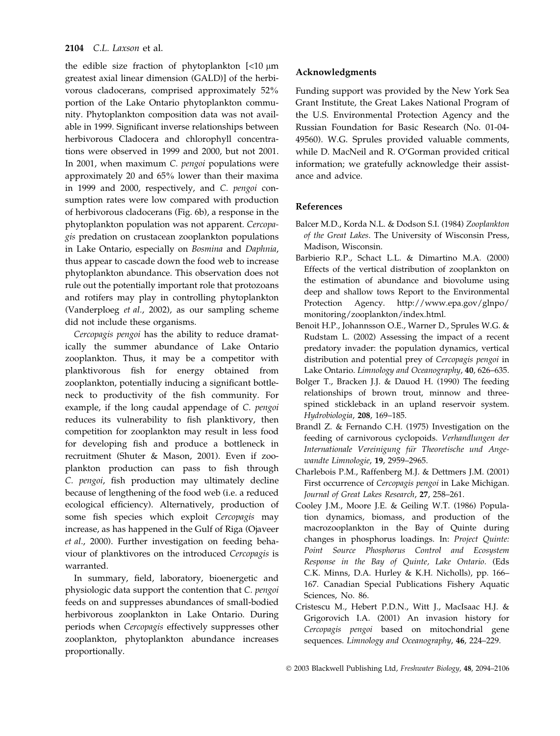# 2104 C.L. Laxson et al.

the edible size fraction of phytoplankton  $\left[$ <10  $\mu$ m greatest axial linear dimension (GALD)] of the herbivorous cladocerans, comprised approximately 52% portion of the Lake Ontario phytoplankton community. Phytoplankton composition data was not available in 1999. Significant inverse relationships between herbivorous Cladocera and chlorophyll concentrations were observed in 1999 and 2000, but not 2001. In 2001, when maximum C. pengoi populations were approximately 20 and 65% lower than their maxima in 1999 and 2000, respectively, and C. pengoi consumption rates were low compared with production of herbivorous cladocerans (Fig. 6b), a response in the phytoplankton population was not apparent. Cercopagis predation on crustacean zooplankton populations in Lake Ontario, especially on Bosmina and Daphnia, thus appear to cascade down the food web to increase phytoplankton abundance. This observation does not rule out the potentially important role that protozoans and rotifers may play in controlling phytoplankton (Vanderploeg et al., 2002), as our sampling scheme did not include these organisms.

Cercopagis pengoi has the ability to reduce dramatically the summer abundance of Lake Ontario zooplankton. Thus, it may be a competitor with planktivorous fish for energy obtained from zooplankton, potentially inducing a significant bottleneck to productivity of the fish community. For example, if the long caudal appendage of C. pengoi reduces its vulnerability to fish planktivory, then competition for zooplankton may result in less food for developing fish and produce a bottleneck in recruitment (Shuter & Mason, 2001). Even if zooplankton production can pass to fish through C. pengoi, fish production may ultimately decline because of lengthening of the food web (i.e. a reduced ecological efficiency). Alternatively, production of some fish species which exploit Cercopagis may increase, as has happened in the Gulf of Riga (Ojaveer et al., 2000). Further investigation on feeding behaviour of planktivores on the introduced Cercopagis is warranted.

In summary, field, laboratory, bioenergetic and physiologic data support the contention that C. pengoi feeds on and suppresses abundances of small-bodied herbivorous zooplankton in Lake Ontario. During periods when Cercopagis effectively suppresses other zooplankton, phytoplankton abundance increases proportionally.

# Acknowledgments

Funding support was provided by the New York Sea Grant Institute, the Great Lakes National Program of the U.S. Environmental Protection Agency and the Russian Foundation for Basic Research (No. 01-04- 49560). W.G. Sprules provided valuable comments, while D. MacNeil and R. O'Gorman provided critical information; we gratefully acknowledge their assistance and advice.

# References

- Balcer M.D., Korda N.L. & Dodson S.I. (1984) Zooplankton of the Great Lakes. The University of Wisconsin Press, Madison, Wisconsin.
- Barbierio R.P., Schact L.L. & Dimartino M.A. (2000) Effects of the vertical distribution of zooplankton on the estimation of abundance and biovolume using deep and shallow tows Report to the Environmental Protection Agency. http://www.epa.gov/glnpo/ monitoring/zooplankton/index.html.
- Benoit H.P., Johannsson O.E., Warner D., Sprules W.G. & Rudstam L. (2002) Assessing the impact of a recent predatory invader: the population dynamics, vertical distribution and potential prey of Cercopagis pengoi in Lake Ontario. Limnology and Oceanography, 40, 626–635.
- Bolger T., Bracken J.J. & Dauod H. (1990) The feeding relationships of brown trout, minnow and threespined stickleback in an upland reservoir system. Hydrobiologia, 208, 169–185.
- Brandl Z. & Fernando C.H. (1975) Investigation on the feeding of carnivorous cyclopoids. Verhandlungen der Internationale Vereinigung für Theoretische und Angewandte Limnologie, 19, 2959–2965.
- Charlebois P.M., Raffenberg M.J. & Dettmers J.M. (2001) First occurrence of Cercopagis pengoi in Lake Michigan. Journal of Great Lakes Research, 27, 258–261.
- Cooley J.M., Moore J.E. & Geiling W.T. (1986) Population dynamics, biomass, and production of the macrozooplankton in the Bay of Quinte during changes in phosphorus loadings. In: Project Quinte: Point Source Phosphorus Control and Ecosystem Response in the Bay of Quinte, Lake Ontario. (Eds C.K. Minns, D.A. Hurley & K.H. Nicholls), pp. 166– 167. Canadian Special Publications Fishery Aquatic Sciences, No. 86.
- Cristescu M., Hebert P.D.N., Witt J., MacIsaac H.J. & Grigorovich I.A. (2001) An invasion history for Cercopagis pengoi based on mitochondrial gene sequences. Limnology and Oceanography, 46, 224-229.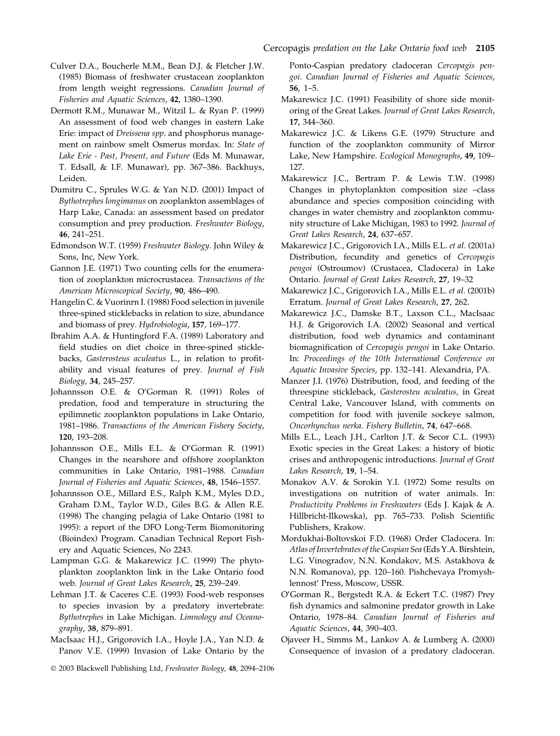- Culver D.A., Boucherle M.M., Bean D.J. & Fletcher J.W. (1985) Biomass of freshwater crustacean zooplankton from length weight regressions. Canadian Journal of Fisheries and Aquatic Sciences, 42, 1380–1390.
- Dermott R.M., Munawar M., Witzil L. & Ryan P. (1999) An assessment of food web changes in eastern Lake Erie: impact of Dreissena spp. and phosphorus management on rainbow smelt Osmerus mordax. In: State of Lake Erie - Past, Present, and Future (Eds M. Munawar, T. Edsall, & I.F. Munawar), pp. 367–386. Backhuys, Leiden.
- Dumitru C., Sprules W.G. & Yan N.D. (2001) Impact of Bythotrephes longimanus on zooplankton assemblages of Harp Lake, Canada: an assessment based on predator consumption and prey production. Freshwater Biology, 46, 241–251.
- Edmondson W.T. (1959) Freshwater Biology. John Wiley & Sons, Inc, New York.
- Gannon J.E. (1971) Two counting cells for the enumeration of zooplankton microcrustacea. Transactions of the American Microscopical Society, 90, 486–490.
- Hangelin C. & Vuorinrn I. (1988) Food selection in juvenile three-spined sticklebacks in relation to size, abundance and biomass of prey. Hydrobiologia, 157, 169–177.
- Ibrahim A.A. & Huntingford F.A. (1989) Laboratory and field studies on diet choice in three-spined sticklebacks, Gasterosteus aculeatus L., in relation to profitability and visual features of prey. Journal of Fish Biology, 34, 245–257.
- Johannsson O.E. & O'Gorman R. (1991) Roles of predation, food and temperature in structuring the epilimnetic zooplankton populations in Lake Ontario, 1981–1986. Transactions of the American Fishery Society, 120, 193–208.
- Johannsson O.E., Mills E.L. & O'Gorman R. (1991) Changes in the nearshore and offshore zooplankton communities in Lake Ontario, 1981–1988. Canadian Journal of Fisheries and Aquatic Sciences, 48, 1546–1557.
- Johannsson O.E., Millard E.S., Ralph K.M., Myles D.D., Graham D.M., Taylor W.D., Giles B.G. & Allen R.E. (1998) The changing pelagia of Lake Ontario (1981 to 1995): a report of the DFO Long-Term Biomonitoring (Bioindex) Program. Canadian Technical Report Fishery and Aquatic Sciences, No 2243.
- Lampman G.G. & Makarewicz J.C. (1999) The phytoplankton zooplankton link in the Lake Ontario food web. Journal of Great Lakes Research, 25, 239–249.
- Lehman J.T. & Caceres C.E. (1993) Food-web responses to species invasion by a predatory invertebrate: Bythotrephes in Lake Michigan. Limnology and Oceanography, 38, 879–891.
- MacIsaac H.J., Grigorovich I.A., Hoyle J.A., Yan N.D. & Panov V.E. (1999) Invasion of Lake Ontario by the
- 2003 Blackwell Publishing Ltd, Freshwater Biology, 48, 2094–2106

Ponto-Caspian predatory cladoceran Cercopagis pengoi. Canadian Journal of Fisheries and Aquatic Sciences, 56, 1–5.

- Makarewicz J.C. (1991) Feasibility of shore side monitoring of the Great Lakes. Journal of Great Lakes Research, 17, 344–360.
- Makarewicz J.C. & Likens G.E. (1979) Structure and function of the zooplankton community of Mirror Lake, New Hampshire. Ecological Monographs, 49, 109– 127.
- Makarewicz J.C., Bertram P. & Lewis T.W. (1998) Changes in phytoplankton composition size –class abundance and species composition coinciding with changes in water chemistry and zooplankton community structure of Lake Michigan, 1983 to 1992. Journal of Great Lakes Research, 24, 637–657.
- Makarewicz J.C., Grigorovich I.A., Mills E.L. et al. (2001a) Distribution, fecundity and genetics of Cercopagis pengoi (Ostroumov) (Crustacea, Cladocera) in Lake Ontario. Journal of Great Lakes Research, 27, 19–32
- Makarewicz J.C., Grigorovich I.A., Mills E.L. et al. (2001b) Erratum. Journal of Great Lakes Research, 27, 262.
- Makarewicz J.C., Damske B.T., Laxson C.L., MacIsaac H.J. & Grigorovich I.A. (2002) Seasonal and vertical distribution, food web dynamics and contaminant biomagnification of Cercopagis pengoi in Lake Ontario. In: Proceedings of the 10th International Conference on Aquatic Invasive Species, pp. 132–141. Alexandria, PA.
- Manzer J.I. (1976) Distribution, food, and feeding of the threespine stickleback, Gasterosteu aculeatus, in Great Central Lake, Vancouver Island, with comments on competition for food with juvenile sockeye salmon, Oncorhynchus nerka. Fishery Bulletin, 74, 647–668.
- Mills E.L., Leach J.H., Carlton J.T. & Secor C.L. (1993) Exotic species in the Great Lakes: a history of biotic crises and anthropogenic introductions. Journal of Great Lakes Research, 19, 1–54.
- Monakov A.V. & Sorokin Y.I. (1972) Some results on investigations on nutrition of water animals. In: Productivity Problems in Freshwaters (Eds J. Kajak & A. Hillbricht-Ilkowska), pp. 765–733. Polish Scientific Publishers, Krakow.
- Mordukhai-Boltovskoi F.D. (1968) Order Cladocera. In: Atlas of Invertebrates of the Caspian Sea (Eds Y.A. Birshtein, L.G. Vinogradov, N.N. Kondakov, M.S. Astakhova & N.N. Romanova), pp. 120–160. Pishchevaya Promyshlennost' Press, Moscow, USSR.
- O'Gorman R., Bergstedt R.A. & Eckert T.C. (1987) Prey fish dynamics and salmonine predator growth in Lake Ontario, 1978–84. Canadian Journal of Fisheries and Aquatic Sciences, 44, 390–403.
- Ojaveer H., Simms M., Lankov A. & Lumberg A. (2000) Consequence of invasion of a predatory cladoceran.